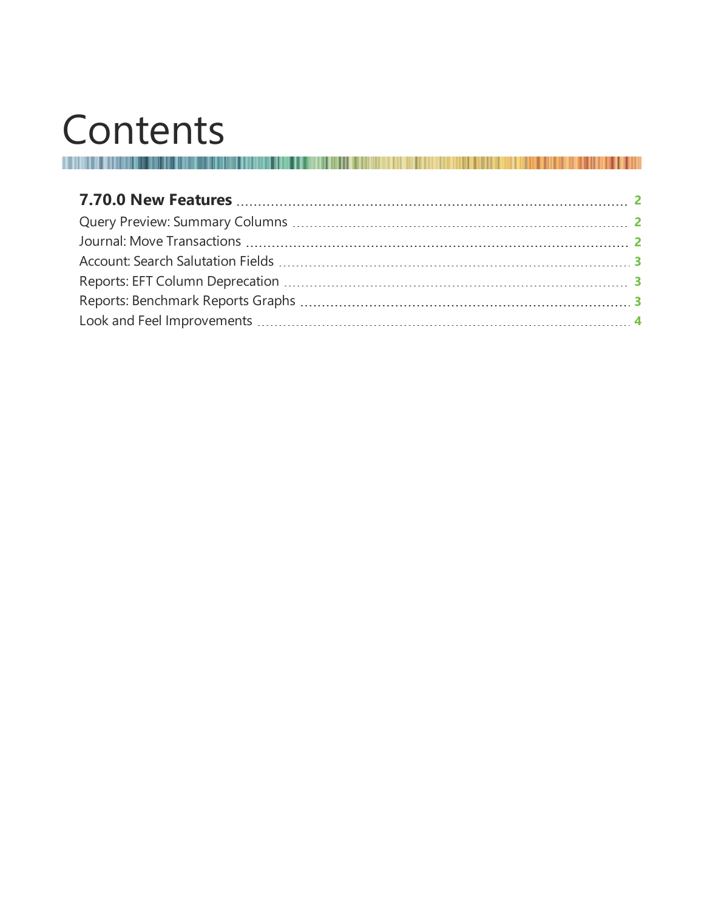# Contents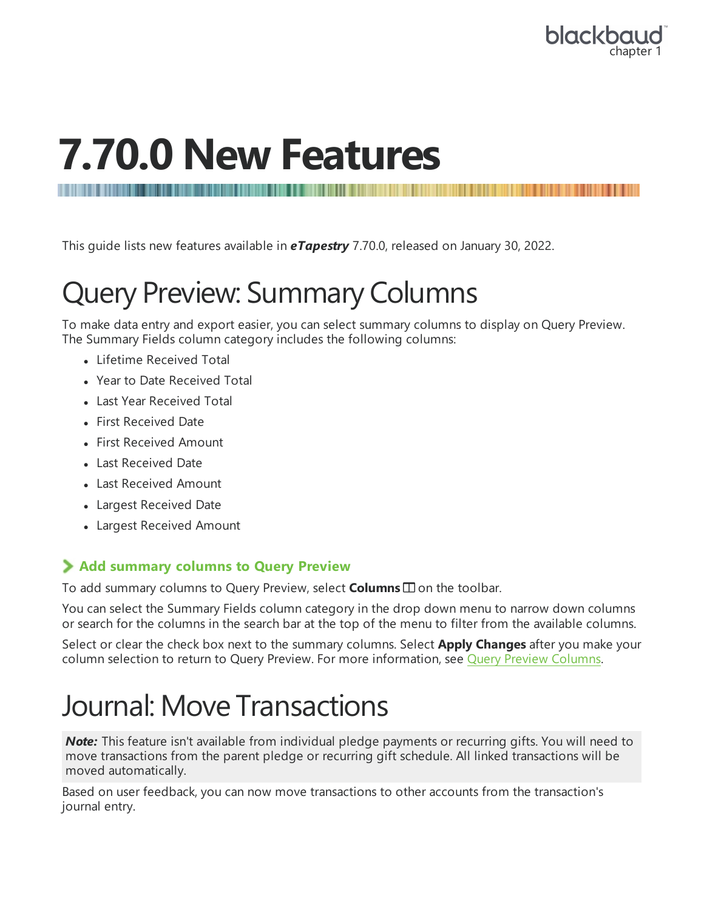

## <span id="page-1-0"></span>**7.70.0 New Features**

<span id="page-1-1"></span>This guide lists new features available in *eTapestry* 7.70.0, released on January 30, 2022.

### Query Preview: Summary Columns

To make data entry and export easier, you can select summary columns to display on Query Preview. The Summary Fields column category includes the following columns:

• Lifetime Received Total

- Year to Date Received Total
- Last Year Received Total
- First Received Date
- First Received Amount
- Last Received Date
- Last Received Amount
- Largest Received Date
- Largest Received Amount

#### **Add summary columns to Query Preview**

To add summary columns to Query Preview, select **Columns**  $\square$  on the toolbar.

You can select the Summary Fields column category in the drop down menu to narrow down columns or search for the columns in the search bar at the top of the menu to filter from the available columns.

<span id="page-1-2"></span>Select or clear the check box next to the summary columns. Select **Apply Changes** after you make your column selection to return to Query Preview. For more information, see Query Preview [Columns.](https://webfiles.blackbaud.com/files/support/helpfiles/etapestry/etapestry/content/tketapquerypreviewcolumns.html?Highlight=query%20preview)

#### Journal: Move Transactions

*Note:* This feature isn't available from individual pledge payments or recurring gifts. You will need to move transactions from the parent pledge or recurring gift schedule. All linked transactions will be moved automatically.

Based on user feedback, you can now move transactions to other accounts from the transaction's journal entry.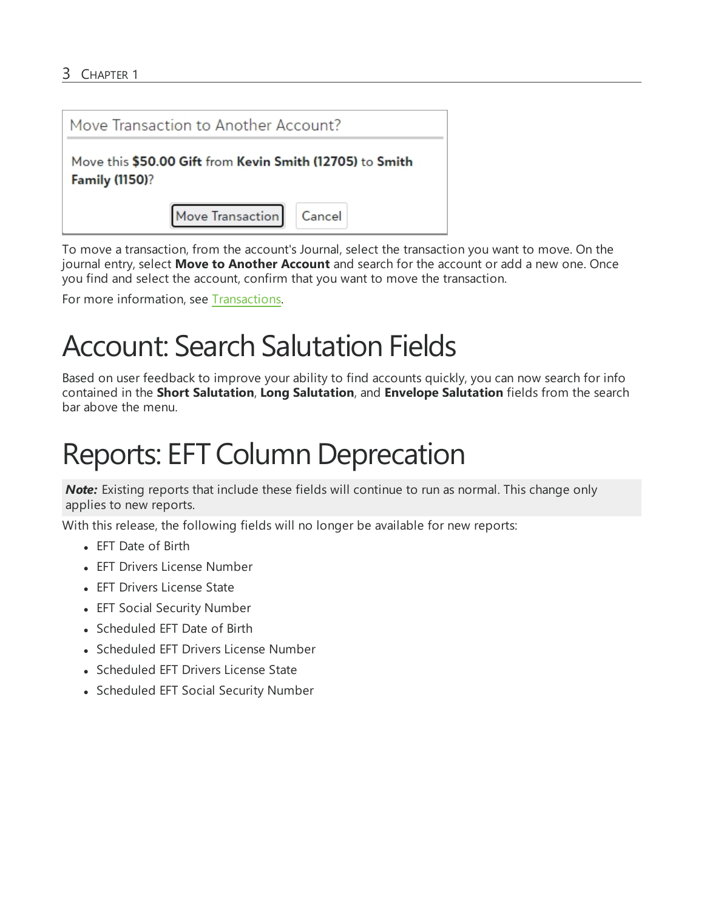

To move a transaction, from the account's Journal, select the transaction you want to move. On the journal entry, select **Move to Another Account** and search for the account or add a new one. Once you find and select the account, confirm that you want to move the transaction.

<span id="page-2-0"></span>For more information, see [Transactions](https://webfiles.blackbaud.com/files/support/helpfiles/etapestry/etapestry/content/etaptransactionoverview.html).

#### Account: Search Salutation Fields

Based on user feedback to improve your ability to find accounts quickly, you can now search for info contained in the **Short Salutation**, **Long Salutation**, and **Envelope Salutation** fields from the search bar above the menu.

### <span id="page-2-1"></span>Reports: EFT Column Deprecation

*Note:* Existing reports that include these fields will continue to run as normal. This change only applies to new reports.

With this release, the following fields will no longer be available for new reports:

- EFT Date of Birth
- EFT Drivers License Number
- EFT Drivers License State
- EFT Social Security Number
- Scheduled EFT Date of Birth
- Scheduled EFT Drivers License Number
- Scheduled EFT Drivers License State
- <span id="page-2-2"></span>• Scheduled EFT Social Security Number